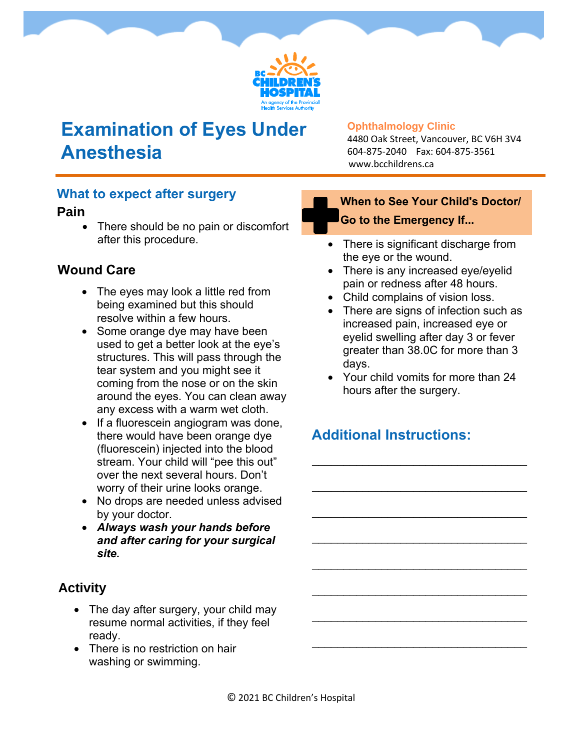

## **Examination of Eyes Under Anesthesia**

#### **Ophthalmology Clinic**

4480 Oak Street, Vancouver, BC V6H 3V4 604-875-2040 Fax: 604-875-3561 www.bcchildrens.ca

#### **What to expect after surgery**

#### **Pain**

• There should be no pain or discomfort after this procedure.

## **Wound Care**

- The eyes may look a little red from being examined but this should resolve within a few hours.
- Some orange dye may have been used to get a better look at the eye's structures. This will pass through the tear system and you might see it coming from the nose or on the skin around the eyes. You can clean away any excess with a warm wet cloth.
- If a fluorescein angiogram was done, there would have been orange dye (fluorescein) injected into the blood stream. Your child will "pee this out" over the next several hours. Don't worry of their urine looks orange.
- No drops are needed unless advised by your doctor.
- *Always wash your hands before and after caring for your surgical site.*

## **Activity**

- The day after surgery, your child may resume normal activities, if they feel ready.
- There is no restriction on hair washing or swimming.

## **When to See Your Child's Doctor/ Go to the Emergency If...**

- There is significant discharge from the eye or the wound.
- There is any increased eye/eyelid pain or redness after 48 hours.
- Child complains of vision loss.
- There are signs of infection such as increased pain, increased eye or eyelid swelling after day 3 or fever greater than 38.0C for more than 3 days.
- Your child vomits for more than 24 hours after the surgery.

\_\_\_\_\_\_\_\_\_\_\_\_\_\_\_\_\_\_\_\_\_\_\_\_\_\_\_\_\_\_\_\_\_\_

\_\_\_\_\_\_\_\_\_\_\_\_\_\_\_\_\_\_\_\_\_\_\_\_\_\_\_\_\_\_\_\_\_\_

\_\_\_\_\_\_\_\_\_\_\_\_\_\_\_\_\_\_\_\_\_\_\_\_\_\_\_\_\_\_\_\_\_\_

\_\_\_\_\_\_\_\_\_\_\_\_\_\_\_\_\_\_\_\_\_\_\_\_\_\_\_\_\_\_\_\_\_\_

\_\_\_\_\_\_\_\_\_\_\_\_\_\_\_\_\_\_\_\_\_\_\_\_\_\_\_\_\_\_\_\_\_\_

\_\_\_\_\_\_\_\_\_\_\_\_\_\_\_\_\_\_\_\_\_\_\_\_\_\_\_\_\_\_\_\_\_\_

\_\_\_\_\_\_\_\_\_\_\_\_\_\_\_\_\_\_\_\_\_\_\_\_\_\_\_\_\_\_\_\_\_\_

\_\_\_\_\_\_\_\_\_\_\_\_\_\_\_\_\_\_\_\_\_\_\_\_\_\_\_\_\_\_\_\_\_\_

## **Additional Instructions:**